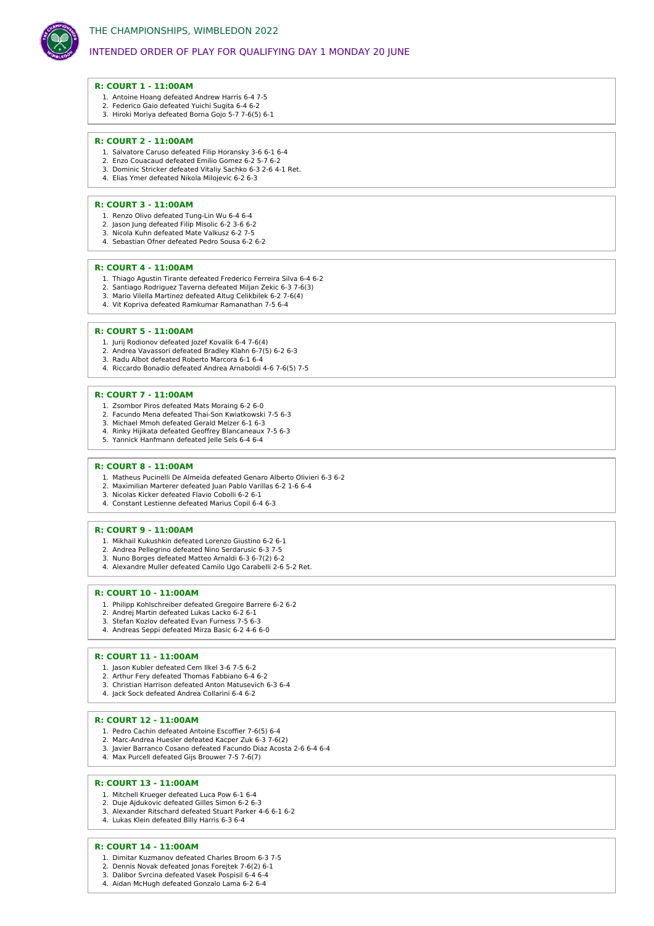

# INTENDED ORDER OF PLAY FOR QUALIFYING DAY 1 MONDAY 20 JUNE

### **R: COURT 1 - 11:00AM**

- 1. Antoine Hoang defeated Andrew Harris 6-4 7-5
- 2. Federico Gaio defeated Yuichi Sugita 6-4 6-2 3. Hiroki Moriya defeated Borna Gojo 5-7 7-6(5) 6-1

#### **R: COURT 2 - 11:00AM**

- 1. Salvatore Caruso defeated Filip Horansky 3-6 6-1 6-4
- 2. Enzo Couacaud defeated Emilio Gomez 6-2 5-7 6-2
- 3. Dominic Stricker defeated Vitaliy Sachko 6-3 2-6 4-1 Ret. 4. Elias Ymer defeated Nikola Milojevic 6-2 6-3
- 

#### **R: COURT 3 - 11:00AM**

- 1. Renzo Olivo defeated Tung-Lin Wu 6-4 6-4
- 2. Jason Jung defeated Filip Misolic 6-2 3-6 6-2 3. Nicola Kuhn defeated Mate Valkusz 6-2 7-5
- 4. Sebastian Ofner defeated Pedro Sousa 6-2 6-2

### **R: COURT 4 - 11:00AM**

- 1. Thiago Agustin Tirante defeated Frederico Ferreira Silva 6-4 6-2
- 2. Santiago Rodriguez Taverna defeated Miljan Zekic 6-3 7-6(3)
- 3. Mario Vilella Martinez defeated Altug Celikbilek 6-2 7-6(4)
- 4. Vit Kopriva defeated Ramkumar Ramanathan 7-5 6-4

## **R: COURT 5 - 11:00AM**

- 1. Jurij Rodionov defeated Jozef Kovalik 6-4 7-6(4)
- 2. Andrea Vavassori defeated Bradley Klahn 6-7(5) 6-2 6-3 3. Radu Albot defeated Roberto Marcora 6-1 6-4
- 4. Riccardo Bonadio defeated Andrea Arnaboldi 4-6 7-6(5) 7-5

#### **R: COURT 7 - 11:00AM**

- 1. Zsombor Piros defeated Mats Moraing 6-2 6-0
- 2. Facundo Mena defeated Thai-Son Kwiatkowski 7-5 6-3
- 3. Michael Mmoh defeated Gerald Melzer 6-1 6-3
- 4. Rinky Hijikata defeated Geoffrey Blancaneaux 7-5 6-3
- 5. Yannick Hanfmann defeated Jelle Sels 6-4 6-4

## **R: COURT 8 - 11:00AM**

- 1. Matheus Pucinelli De Almeida defeated Genaro Alberto Olivieri 6-3 6-2
- 2. Maximilian Marterer defeated Juan Pablo Varillas 6-2 1-6 6-4 3. Nicolas Kicker defeated Flavio Cobolli 6-2 6-1
- 4. Constant Lestienne defeated Marius Copil 6-4 6-3

#### **R: COURT 9 - 11:00AM**

- 1. Mikhail Kukushkin defeated Lorenzo Giustino 6-2 6-1
- 2. Andrea Pellegrino defeated Nino Serdarusic 6-3 7-5
- 3. Nuno Borges defeated Matteo Arnaldi 6-3 6-7(2) 6-2 4. Alexandre Muller defeated Camilo Ugo Carabelli 2-6 5-2 Ret.
- 

### **R: COURT 10 - 11:00AM**

- 1. Philipp Kohlschreiber defeated Gregoire Barrere 6-2 6-2
- 2. Andrej Martin defeated Lukas Lacko 6-2 6-1
- 3. Stefan Kozlov defeated Evan Furness 7-5 6-3 4. Andreas Seppi defeated Mirza Basic 6-2 4-6 6-0

### **R: COURT 11 - 11:00AM**

- 1. Jason Kubler defeated Cem Ilkel 3-6 7-5 6-2
- 2. Arthur Fery defeated Thomas Fabbiano 6-4 6-2
- 3. Christian Harrison defeated Anton Matusevich 6-3 6-4
- 4. Jack Sock defeated Andrea Collarini 6-4 6-2

## **R: COURT 12 - 11:00AM**

- 1. Pedro Cachin defeated Antoine Escoffier 7-6(5) 6-4
- 2. Marc-Andrea Huesler defeated Kacper Zuk 6-3 7-6(2) 3. Javier Barranco Cosano defeated Facundo Diaz Acosta 2-6 6-4 6-4
- 4. Max Purcell defeated Gijs Brouwer 7-5 7-6(7)
- 

#### **R: COURT 13 - 11:00AM**

- 1. Mitchell Krueger defeated Luca Pow 6-1 6-4
- 2. Duje Ajdukovic defeated Gilles Simon 6-2 6-3
- 3. Alexander Ritschard defeated Stuart Parker 4-6 6-1 6-2
- 4. Lukas Klein defeated Billy Harris 6-3 6-4

### **R: COURT 14 - 11:00AM**

- 1. Dimitar Kuzmanov defeated Charles Broom 6-3 7-5
- 2. Dennis Novak defeated Jonas Forejtek 7-6(2) 6-1 3. Dalibor Svrcina defeated Vasek Pospisil 6-4 6-4
- 4. Aidan McHugh defeated Gonzalo Lama 6-2 6-4